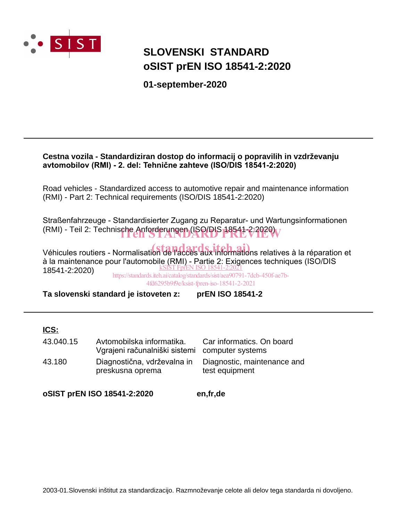

# **SLOVENSKI STANDARD oSIST prEN ISO 18541-2:2020**

**01-september-2020**

### **Cestna vozila - Standardiziran dostop do informacij o popravilih in vzdrževanju avtomobilov (RMI) - 2. del: Tehnične zahteve (ISO/DIS 18541-2:2020)**

Road vehicles - Standardized access to automotive repair and maintenance information (RMI) - Part 2: Technical requirements (ISO/DIS 18541-2:2020)

Straßenfahrzeuge - Standardisierter Zugang zu Reparatur- und Wartungsinformationen (RMI) - Teil 2: Technische Anforderungen (ISO/DIS 18541-2:2020)

Véhicules routiers - Normalisation de l'accès aux informations relatives à la réparation et à la maintenance pour l'automobile (RMI) - Partie 2: Exigences techniques (ISO/DIS 18541-2:2020) kSIST FprEN ISO 18541-2:2

https://standards.iteh.ai/catalog/standards/sist/aea90791-7dcb-450f-ae7b-4fd6295b9f9e/ksist-fpren-iso-18541-2-2021

**Ta slovenski standard je istoveten z: prEN ISO 18541-2**

### **ICS:**

| 43.040.15 | Avtomobilska informatika.<br>Vgrajeni računalniški sistemi computer systems | Car informatics. On board                     |
|-----------|-----------------------------------------------------------------------------|-----------------------------------------------|
| 43.180    | Diagnostična, vdrževalna in<br>preskusna oprema                             | Diagnostic, maintenance and<br>test equipment |

**oSIST prEN ISO 18541-2:2020 en,fr,de**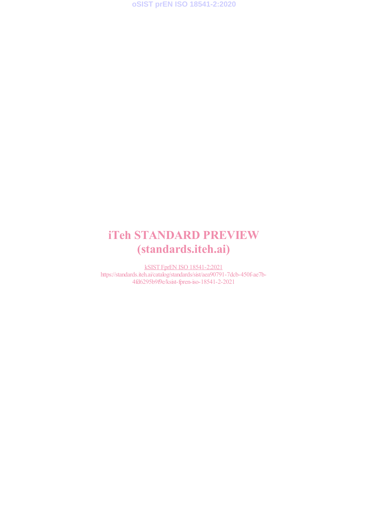**oSIST prEN ISO 18541-2:2020**

# iTeh STANDARD PREVIEW (standards.iteh.ai)

kSIST FprEN ISO 18541-2:2021 https://standards.iteh.ai/catalog/standards/sist/aea90791-7dcb-450f-ae7b-4fd6295b9f9e/ksist-fpren-iso-18541-2-2021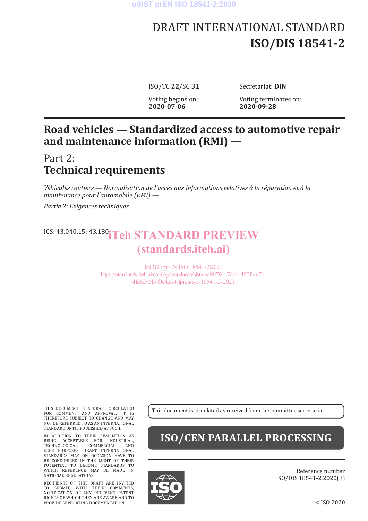# DRAFT INTERNATIONAL STANDARD **ISO/DIS 18541-2**

ISO/TC **22**/SC **31** Secretariat: **DIN**

Voting begins on: Voting terminates on:<br>2020-07-06 2020-09-28 **2020-07-06 2020-09-28**

# **Road vehicles — Standardized access to automotive repair and maintenance information (RMI) —**

# Part 2: **Technical requirements**

*Véhicules routiers — Normalisation de l'accès aux informations relatives à la réparation et à la maintenance pour l'automobile (RMI) —*

*Partie 2: Exigences techniques*

# ICS: 43.040.15; 43.180<sup>°</sup> Teh STANDARD PREVIEW (standards.iteh.ai)

kSIST FprEN ISO 18541-2:2021 https://standards.iteh.ai/catalog/standards/sist/aea90791-7dcb-450f-ae7b-4fd6295b9f9e/ksist-fpren-iso-18541-2-2021

THIS DOCUMENT IS A DRAFT CIRCULATED FOR COMMENT AND APPROVAL. IT IS THEREFORE SUBJECT TO CHANGE AND MAY NOT BE REFERRED TO AS AN INTERNATIONAL STANDARD UNTIL PUBLISHED AS SUCH.

IN ADDITION TO THEIR EVALUATION AS BEING ACCEPTABLE FOR INDUSTRIAL, TECHNOLOGICAL, COMMERCIAL AND USER PURPOSES, DRAFT INTERNATIONAL STANDARDS MAY ON OCCASION HAVE TO BE CONSIDERED IN THE LIGHT OF THEIR POTENTIAL TO BECOME STANDARDS TO WHICH REFERENCE MAY BE MADE IN NATIONAL REGULATIONS.

RECIPIENTS OF THIS DRAFT ARE INVITED TO SUBMIT, WITH THEIR COMMENTS, NOTIFICATION OF ANY RELEVANT PATENT RIGHTS OF WHICH THEY ARE AWARE AND TO PROVIDE SUPPORTING DOCUMENTATION.

This document is circulated as received from the committee secretariat.

# **ISO/CEN PARALLEL PROCESSING**



Reference number ISO/DIS 18541-2:2020(E)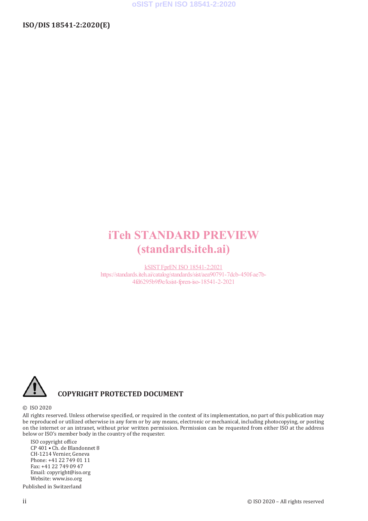# **iTeh STANDARD PREVIEW** (standards.iteh.ai)

**kSIST FprEN ISO 18541-2:2021** https://standards.iteh.ai/catalog/standards/sist/aea90791-7dcb-450f-ae7b-4fd6295b9f9e/ksist-fpren-iso-18541-2-2021



## **COPYRIGHT PROTECTED DOCUMENT**

#### © ISO 2020

All rights reserved. Unless otherwise specified, or required in the context of its implementation, no part of this publication may be reproduced or utilized otherwise in any form or by any means, electronic or mechanical, including photocopying, or posting on the internet or an intranet, without prior written permission. Permission can be requested from either ISO at the address below or ISO's member body in the country of the requester.

ISO copyright office CP 401 · Ch. de Blandonnet 8 CH-1214 Vernier, Geneva Phone: +41 22 749 01 11 Fax: +41 22 749 09 47 Email: copyright@iso.org Website: www.iso.org

Published in Switzerland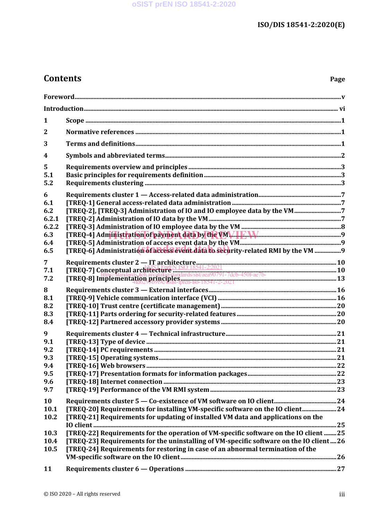# **Contents**

| 1                |                                                                                                                                                                                                                                |  |
|------------------|--------------------------------------------------------------------------------------------------------------------------------------------------------------------------------------------------------------------------------|--|
| $\overline{2}$   |                                                                                                                                                                                                                                |  |
| 3                |                                                                                                                                                                                                                                |  |
| $\boldsymbol{4}$ |                                                                                                                                                                                                                                |  |
| 5                |                                                                                                                                                                                                                                |  |
| 5.1              |                                                                                                                                                                                                                                |  |
| 5.2              |                                                                                                                                                                                                                                |  |
| 6                |                                                                                                                                                                                                                                |  |
| 6.1              |                                                                                                                                                                                                                                |  |
| 6.2              | [TREQ-2], [TREQ-3] Administration of IO and IO employee data by the VM                                                                                                                                                         |  |
| 6.2.1            |                                                                                                                                                                                                                                |  |
| 6.2.2            |                                                                                                                                                                                                                                |  |
| 6.3              |                                                                                                                                                                                                                                |  |
| 6.4<br>6.5       | [TREQ-6] Administration of access event data to security-related RMI by the VM 9                                                                                                                                               |  |
|                  |                                                                                                                                                                                                                                |  |
| $\overline{7}$   |                                                                                                                                                                                                                                |  |
| 7.1              |                                                                                                                                                                                                                                |  |
| 7.2              | Requirements cluster 2 — IT architecture<br>[TREQ-7] Conceptual architecture<br>ITREQ-8] Implementation principles indirections is variable 30791-7deb-4501-ae7b-<br>[TREQ-8] Implementation principles in the so-18541-2-2021 |  |
| 8                |                                                                                                                                                                                                                                |  |
| 8.1              |                                                                                                                                                                                                                                |  |
| 8.2              |                                                                                                                                                                                                                                |  |
| 8.3              |                                                                                                                                                                                                                                |  |
| 8.4              |                                                                                                                                                                                                                                |  |
| 9                |                                                                                                                                                                                                                                |  |
| 9.1              |                                                                                                                                                                                                                                |  |
| 9.2              |                                                                                                                                                                                                                                |  |
| 9.3              |                                                                                                                                                                                                                                |  |
| 9.4              |                                                                                                                                                                                                                                |  |
| 9.5              |                                                                                                                                                                                                                                |  |
| 9.6              |                                                                                                                                                                                                                                |  |
| 9.7              |                                                                                                                                                                                                                                |  |
| 10               |                                                                                                                                                                                                                                |  |
| 10.1             | [TREQ-20] Requirements for installing VM-specific software on the IO client 24                                                                                                                                                 |  |
| 10.2             | [TREQ-21] Requirements for updating of installed VM data and applications on the                                                                                                                                               |  |
|                  |                                                                                                                                                                                                                                |  |
| 10.3             | [TREQ-22] Requirements for the operation of VM-specific software on the IO client  25                                                                                                                                          |  |
| 10.4             | [TREQ-23] Requirements for the uninstalling of VM-specific software on the IO client26                                                                                                                                         |  |
| 10.5             | [TREQ-24] Requirements for restoring in case of an abnormal termination of the                                                                                                                                                 |  |
|                  |                                                                                                                                                                                                                                |  |
| 11               |                                                                                                                                                                                                                                |  |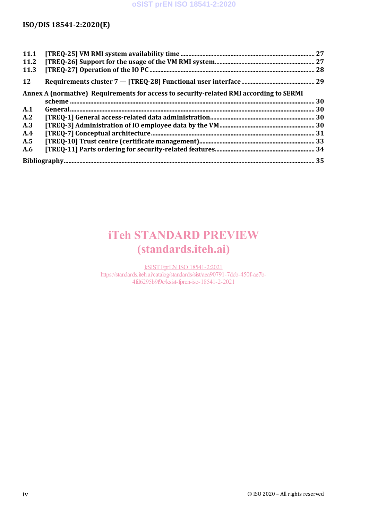| 11.1<br>11.2                                                                           |  |  |
|----------------------------------------------------------------------------------------|--|--|
| 11.3                                                                                   |  |  |
| <b>12</b>                                                                              |  |  |
| Annex A (normative) Requirements for access to security-related RMI according to SERMI |  |  |
|                                                                                        |  |  |
| A.1                                                                                    |  |  |
| A.2                                                                                    |  |  |
| A.3                                                                                    |  |  |
| A.4                                                                                    |  |  |
| A.5                                                                                    |  |  |
| A.6                                                                                    |  |  |
|                                                                                        |  |  |

# iTeh STANDARD PREVIEW (standards.iteh.ai)

kSIST FprEN ISO 18541-2:2021 https://standards.iteh.ai/catalog/standards/sist/aea90791-7dcb-450f-ae7b-4fd6295b9f9e/ksist-fpren-iso-18541-2-2021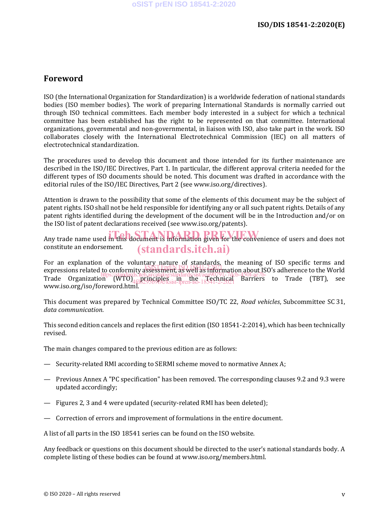### **Foreword**

ISO (the International Organization for Standardization) is a worldwide federation of national standards bodies (ISO member bodies). The work of preparing International Standards is normally carried out through ISO technical committees. Each member body interested in a subject for which a technical committee has been established has the right to be represented on that committee. International organizations, governmental and non-governmental, in liaison with ISO, also take part in the work. ISO collaborates closely with the International Electrotechnical Commission (IEC) on all matters of electrotechnical standardization.

The procedures used to develop this document and those intended for its further maintenance are described in the ISO/IEC Directives, Part 1. In particular, the different approval criteria needed for the different types of ISO documents should be noted. This document was drafted in accordance with the editorial rules of the ISO/IEC Directives, Part 2 (see www.iso.org/directives).

Attention is drawn to the possibility that some of the elements of this document may be the subject of patent rights. ISO shall not be held responsible for identifying any or all such patent rights. Details of any patent rights identified during the development of the document will be in the Introduction and/or on the ISO list of patent declarations received (see www.iso.org/patents).

Any trade name used in this document is information given for the convenience of users and does not constitute an endorsement. (standards.iteh.ai)

For an explanation of the voluntary nature of standards, the meaning of ISO specific terms and expressions related to conformity assessment, as well as information about ISO's adherence to the World Expressions related https://standards.iteh.ai/catalog/standards/sist/aea90791-7dcb-450f-ae7b-<br>Trade Organization (WTO)<sub>44-i</sub>principles in the <sub>10</sub>fechnical Barriers to Trade (TBT), see www.iso.org/iso/foreword.html. 4fd6295b9f9e/ksist-fpren-iso-18541-2-2021

This document was prepared by Technical Committee ISO/TC 22, *Road vehicles*, Subcommittee SC 31, *data communication*.

This second edition cancels and replaces the first edition (ISO 18541-2:2014), which has been technically revised.

The main changes compared to the previous edition are as follows:

- Security-related RMI according to SERMI scheme moved to normative Annex A;
- Previous Annex A "PC specification" has been removed. The corresponding clauses 9.2 and 9.3 were updated accordingly;
- Figures 2, 3 and 4 were updated (security-related RMI has been deleted);
- Correction of errors and improvement of formulations in the entire document.

A list of all parts in the ISO 18541 series can be found on the ISO website.

Any feedback or questions on this document should be directed to the user's national standards body. A complete listing of these bodies can be found at www.iso.org/members.html.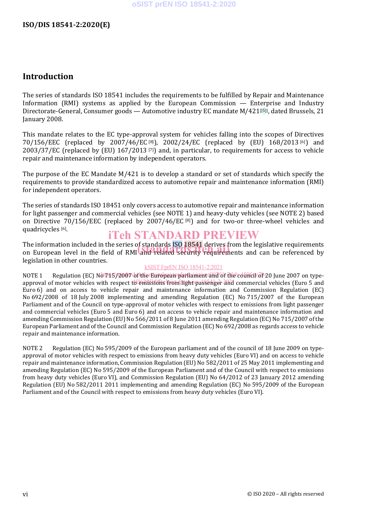### **Introduction**

The series of standards ISO 18541 includes the requirements to be fulfilled by Repair and Maintenance Information (RMI) systems as applied by the European Commission — Enterprise and Industry Directorate-General, Consumer goods — Automotive industry EC mandate M/421[[5]], dated Brussels, 21 January 2008.

This mandate relates to the EC type-approval system for vehicles falling into the scopes of Directives 70/156/EEC (replaced by 2007/46/EC [8]), 2002/24/EC (replaced by (EU) 168/2013 [6]) and 2003/37/EC (replaced by (EU) 167/2013 [7]) and, in particular, to requirements for access to vehicle repair and maintenance information by independent operators.

The purpose of the EC Mandate M/421 is to develop a standard or set of standards which specify the requirements to provide standardized access to automotive repair and maintenance information (RMI) for independent operators.

The series of standards ISO 18451 only covers access to automotive repair and maintenance information for light passenger and commercial vehicles (see NOTE 1) and heavy-duty vehicles (see NOTE 2) based on Directive 70/156/EEC (replaced by 2007/46/EC [8]) and for two-or three-wheel vehicles and quadricycles<sup>[6]</sup>.

## iTeh STANDARD PREVIEW

The information included in the series of standards ISO 18541 derives from the legislative requirements The information included in the series of standards ISO 18541 derives from the legislative requirements<br>on European level in the field of RMI and related security requirements and can be referenced by legislation in other countries.

#### kSIST FprEN ISO 18541-2:2021

NOTE 1 Regulation (EC) Not715/2007 of the European parliament and Of the council of 20 June 2007 on typeapproval of motor vehicles with respect to emissions from light passenger and commercial vehicles (Euro 5 and Euro 6) and on access to vehicle repair and maintenance information and Commission Regulation (EC) No 692/2008 of 18 July 2008 implementing and amending Regulation (EC) No 715/2007 of the European Parliament and of the Council on type-approval of motor vehicles with respect to emissions from light passenger and commercial vehicles (Euro 5 and Euro 6) and on access to vehicle repair and maintenance information and amending Commission Regulation (EU) No 566/2011 of 8 June 2011 amending Regulation (EC) No 715/2007 of the European Parliament and of the Council and Commission Regulation (EC) No 692/2008 as regards access to vehicle repair and maintenance information.

NOTE 2 Regulation (EC) No 595/2009 of the European parliament and of the council of 18 June 2009 on typeapproval of motor vehicles with respect to emissions from heavy duty vehicles (Euro VI) and on access to vehicle repair and maintenance information, Commission Regulation (EU) No 582/2011 of 25 May 2011 implementing and amending Regulation (EC) No 595/2009 of the European Parliament and of the Council with respect to emissions from heavy duty vehicles (Euro VI), and Commission Regulation (EU) No 64/2012 of 23 January 2012 amending Regulation (EU) No 582/2011 2011 implementing and amending Regulation (EC) No 595/2009 of the European Parliament and of the Council with respect to emissions from heavy duty vehicles (Euro VI).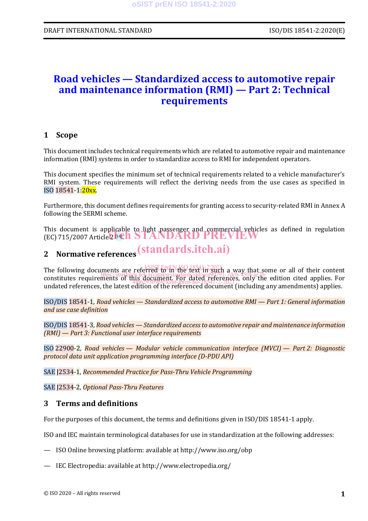## **Road vehicles — Standardized access to automotive repair and maintenance information (RMI) — Part 2: Technical requirements**

#### **1 Scope**

This document includes technical requirements which are related to automotive repair and maintenance information (RMI) systems in order to standardize access to RMI for independent operators.

This document specifies the minimum set of technical requirements related to a vehicle manufacturer's RMI system. These requirements will reflect the deriving needs from the use cases as specified in ISO 18541-1:20xx.

Furthermore, this document defines requirements for granting access to security-related RMI in Annex A following the SERMI scheme.

This document is applicable to light passenger and commercial vehicles as defined in regulation This document is applicable to Hent passenger and commercial vehicles<br>(EC) 715/2007 Article 2 <sup>[14]</sup> STANDARD PREVIEW

# **2 Normative references** (standards.iteh.ai)

The following documents are referred to in the text in such a way that some or all of their content ric ronowing documents and restrict to reference of the standards. The standards in the constitutes requirements of this document. For dated references, only the edition cited applies. For undated references, the latest edition of the referenced document (including any amendments) applies. 4fd6295b9f9e/ksist-fpren-iso-18541-2-2021

ISO/DIS 18541-1, *Road vehicles — Standardized access to automotive RMI — Part 1: General information and use case definition*

ISO/DIS 18541-3, *Road vehicles — Standardized access to automotive repair and maintenance information (RMI) — Part 3: Functional user interface requirements*

ISO 22900-2, *Road vehicles — Modular vehicle communication interface (MVCI) — Part 2: Diagnostic protocol data unit application programming interface (D-PDU API)*

SAE J2534-1, *Recommended Practice for Pass-Thru Vehicle Programming*

SAE J2534-2, *Optional Pass-Thru Features*

#### **3 Terms and definitions**

For the purposes of this document, the terms and definitions given in ISO/DIS 18541-1 apply.

ISO and IEC maintain terminological databases for use in standardization at the following addresses:

- ISO Online browsing platform: available at http://www.iso.org/obp
- IEC Electropedia: available at http://www.electropedia.org/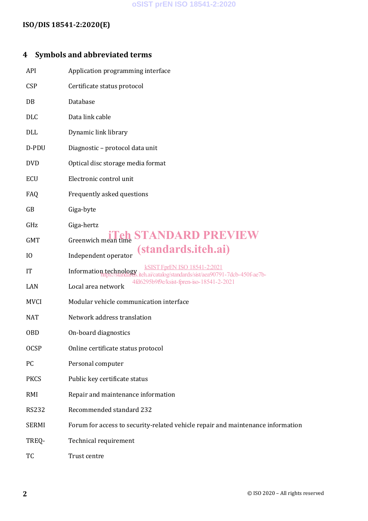### **oSIST prEN ISO 18541-2:2020**

### **ISO/DIS 18541-2:2020(E)**

## **4 Symbols and abbreviated terms**

| API            | Application programming interface                                                                   |
|----------------|-----------------------------------------------------------------------------------------------------|
| <b>CSP</b>     | Certificate status protocol                                                                         |
| DB             | Database                                                                                            |
| <b>DLC</b>     | Data link cable                                                                                     |
| DLL            | Dynamic link library                                                                                |
| D-PDU          | Diagnostic - protocol data unit                                                                     |
| <b>DVD</b>     | Optical disc storage media format                                                                   |
| <b>ECU</b>     | Electronic control unit                                                                             |
| FAQ            | Frequently asked questions                                                                          |
| GB             | Giga-byte                                                                                           |
| GHz            | Giga-hertz                                                                                          |
| <b>GMT</b>     | <b>Greenwich mean time STANDARD PREVIEW</b>                                                         |
| I <sub>0</sub> | <i>(standards.iteh.ai)</i><br>Independent operator                                                  |
| IT             | ISO 18541-2:2021<br>Information technology<br>eh.ai/catalog/standards/sist/aea90791-7dcb-450f-ae7b- |
| LAN            | 4fd6295b9f9e/ksist-fpren-iso-18541-2-2021<br>Local area network                                     |
| <b>MVCI</b>    | Modular vehicle communication interface                                                             |
| <b>NAT</b>     | Network address translation                                                                         |
| <b>OBD</b>     | On-board diagnostics                                                                                |
| <b>OCSP</b>    | Online certificate status protocol                                                                  |
| PC             | Personal computer                                                                                   |
| <b>PKCS</b>    | Public key certificate status                                                                       |
| RMI            | Repair and maintenance information                                                                  |
| <b>RS232</b>   | Recommended standard 232                                                                            |
| <b>SERMI</b>   | Forum for access to security-related vehicle repair and maintenance information                     |
| TREQ-          | Technical requirement                                                                               |
| TC             | Trust centre                                                                                        |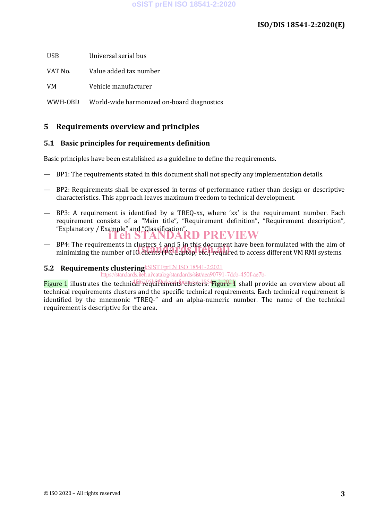USB Universal serial bus

VAT No. Value added tax number

VM Vehicle manufacturer

WWH-OBD World-wide harmonized on-board diagnostics

### **5 Requirements overview and principles**

#### **5.1 Basic principles for requirements definition**

Basic principles have been established as a guideline to define the requirements.

- BP1: The requirements stated in this document shall not specify any implementation details.
- BP2: Requirements shall be expressed in terms of performance rather than design or descriptive characteristics. This approach leaves maximum freedom to technical development.
- BP3: A requirement is identified by a TREQ-xx, where 'xx' is the requirement number. Each requirement consists of a "Main title", "Requirement definition", "Requirement description", "Explanatory / Example" and "Classification". iTeh STANDARD PREVIEW
- BP4: The requirements in clusters 4 and 5 in this document have been formulated with the aim of BP4: The requirements in clusters 4 and 5 in this document have been formulated with the aim o<br>minimizing the number of IO clients (PC, Laptop, etc.) required to access different VM RMI systems.

### **5.2 Requirements clustering KSIST FprEN ISO 18541-2:2021**

https://standards.iteh.ai/catalog/standards/sist/aea90791-7dcb-450f-ae7b-

Figure 1 illustrates the technical requirements clusters. Figure 1 shall provide an overview about all technical requirements clusters and the specific technical requirements. Each technical requirement is identified by the mnemonic "TREQ-" and an alpha-numeric number. The name of the technical requirement is descriptive for the area.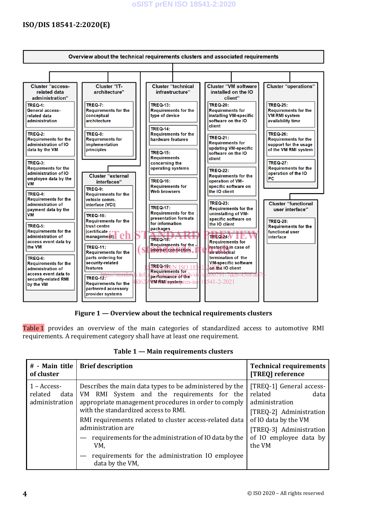#### **oSIST prEN ISO 18541-2:2020**

### **ISO/DIS 18541-2:2020(E)**



**Figure 1 — Overview about the technical requirements clusters** 

Table 1 provides an overview of the main categories of standardized access to automotive RMI requirements. A requirement category shall have at least one requirement.

| # - Main title<br>of cluster                       | <b>Brief description</b>                                                                                                                                                                                                                                                                                                                                                                                                         | <b>Technical requirements</b><br>[TREQ] reference                                                                                                                               |
|----------------------------------------------------|----------------------------------------------------------------------------------------------------------------------------------------------------------------------------------------------------------------------------------------------------------------------------------------------------------------------------------------------------------------------------------------------------------------------------------|---------------------------------------------------------------------------------------------------------------------------------------------------------------------------------|
| $1 - Access-$<br>related<br>data<br>administration | Describes the main data types to be administered by the<br>RMI System and the requirements for the<br>VM.<br>appropriate management procedures in order to comply<br>with the standardized access to RMI.<br>RMI requirements related to cluster access-related data<br>administration are<br>requirements for the administration of IO data by the<br>VM.<br>requirements for the administration IO employee<br>data by the VM, | [TREQ-1] General access-<br>related<br>data<br>administration<br>[TREQ-2] Administration<br>of IO data by the VM<br>[TREQ-3] Administration<br>of IO employee data by<br>the VM |

**Table 1 — Main requirements clusters**